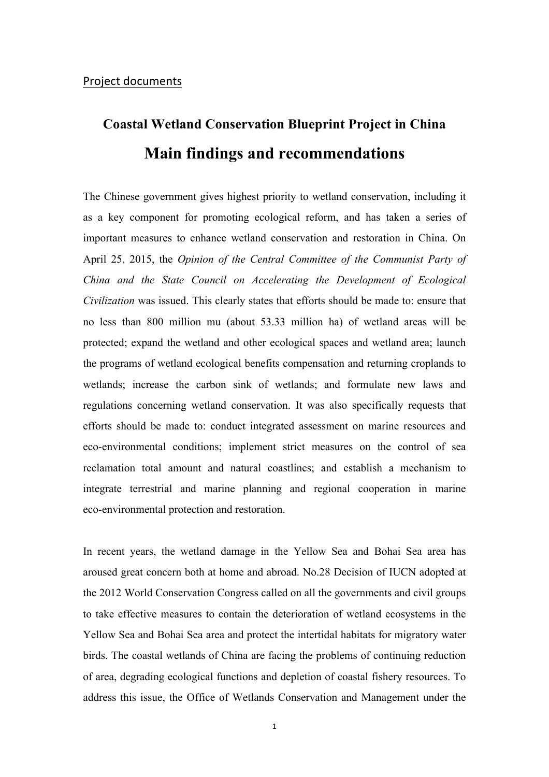# **Coastal Wetland Conservation Blueprint Project in China Main findings and recommendations**

The Chinese government gives highest priority to wetland conservation, including it as a key component for promoting ecological reform, and has taken a series of important measures to enhance wetland conservation and restoration in China. On April 25, 2015, the *Opinion of the Central Committee of the Communist Party of China and the State Council on Accelerating the Development of Ecological Civilization* was issued. This clearly states that efforts should be made to: ensure that no less than 800 million mu (about 53.33 million ha) of wetland areas will be protected; expand the wetland and other ecological spaces and wetland area; launch the programs of wetland ecological benefits compensation and returning croplands to wetlands; increase the carbon sink of wetlands; and formulate new laws and regulations concerning wetland conservation. It was also specifically requests that efforts should be made to: conduct integrated assessment on marine resources and eco-environmental conditions; implement strict measures on the control of sea reclamation total amount and natural coastlines; and establish a mechanism to integrate terrestrial and marine planning and regional cooperation in marine eco-environmental protection and restoration.

In recent years, the wetland damage in the Yellow Sea and Bohai Sea area has aroused great concern both at home and abroad. No.28 Decision of IUCN adopted at the 2012 World Conservation Congress called on all the governments and civil groups to take effective measures to contain the deterioration of wetland ecosystems in the Yellow Sea and Bohai Sea area and protect the intertidal habitats for migratory water birds. The coastal wetlands of China are facing the problems of continuing reduction of area, degrading ecological functions and depletion of coastal fishery resources. To address this issue, the Office of Wetlands Conservation and Management under the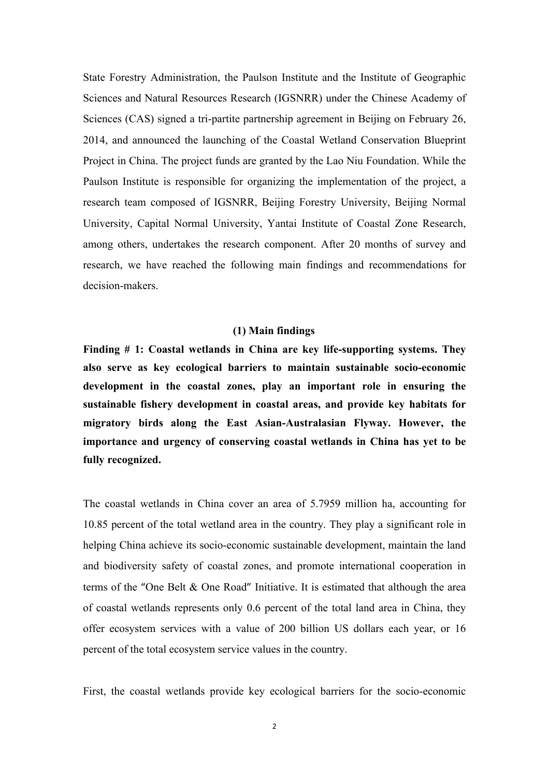State Forestry Administration, the Paulson Institute and the Institute of Geographic Sciences and Natural Resources Research (IGSNRR) under the Chinese Academy of Sciences (CAS) signed a tri-partite partnership agreement in Beijing on February 26, 2014, and announced the launching of the Coastal Wetland Conservation Blueprint Project in China. The project funds are granted by the Lao Niu Foundation. While the Paulson Institute is responsible for organizing the implementation of the project, a research team composed of IGSNRR, Beijing Forestry University, Beijing Normal University, Capital Normal University, Yantai Institute of Coastal Zone Research, among others, undertakes the research component. After 20 months of survey and research, we have reached the following main findings and recommendations for decision-makers.

## **(1) Main findings**

**Finding # 1: Coastal wetlands in China are key life-supporting systems. They also serve as key ecological barriers to maintain sustainable socio-economic development in the coastal zones, play an important role in ensuring the sustainable fishery development in coastal areas, and provide key habitats for migratory birds along the East Asian-Australasian Flyway. However, the importance and urgency of conserving coastal wetlands in China has yet to be fully recognized.** 

The coastal wetlands in China cover an area of 5.7959 million ha, accounting for 10.85 percent of the total wetland area in the country. They play a significant role in helping China achieve its socio-economic sustainable development, maintain the land and biodiversity safety of coastal zones, and promote international cooperation in terms of the "One Belt & One Road" Initiative. It is estimated that although the area of coastal wetlands represents only 0.6 percent of the total land area in China, they offer ecosystem services with a value of 200 billion US dollars each year, or 16 percent of the total ecosystem service values in the country.

First, the coastal wetlands provide key ecological barriers for the socio-economic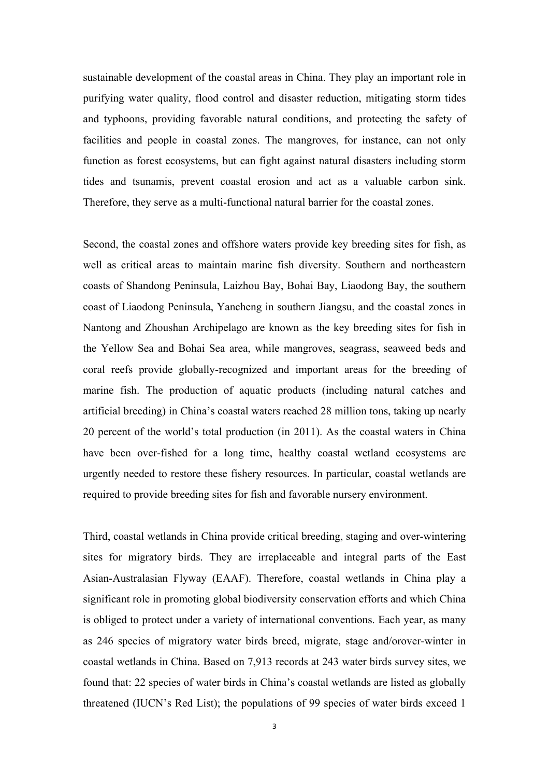sustainable development of the coastal areas in China. They play an important role in purifying water quality, flood control and disaster reduction, mitigating storm tides and typhoons, providing favorable natural conditions, and protecting the safety of facilities and people in coastal zones. The mangroves, for instance, can not only function as forest ecosystems, but can fight against natural disasters including storm tides and tsunamis, prevent coastal erosion and act as a valuable carbon sink. Therefore, they serve as a multi-functional natural barrier for the coastal zones.

Second, the coastal zones and offshore waters provide key breeding sites for fish, as well as critical areas to maintain marine fish diversity. Southern and northeastern coasts of Shandong Peninsula, Laizhou Bay, Bohai Bay, Liaodong Bay, the southern coast of Liaodong Peninsula, Yancheng in southern Jiangsu, and the coastal zones in Nantong and Zhoushan Archipelago are known as the key breeding sites for fish in the Yellow Sea and Bohai Sea area, while mangroves, seagrass, seaweed beds and coral reefs provide globally-recognized and important areas for the breeding of marine fish. The production of aquatic products (including natural catches and artificial breeding) in China's coastal waters reached 28 million tons, taking up nearly 20 percent of the world's total production (in 2011). As the coastal waters in China have been over-fished for a long time, healthy coastal wetland ecosystems are urgently needed to restore these fishery resources. In particular, coastal wetlands are required to provide breeding sites for fish and favorable nursery environment.

Third, coastal wetlands in China provide critical breeding, staging and over-wintering sites for migratory birds. They are irreplaceable and integral parts of the East Asian-Australasian Flyway (EAAF). Therefore, coastal wetlands in China play a significant role in promoting global biodiversity conservation efforts and which China is obliged to protect under a variety of international conventions. Each year, as many as 246 species of migratory water birds breed, migrate, stage and/orover-winter in coastal wetlands in China. Based on 7,913 records at 243 water birds survey sites, we found that: 22 species of water birds in China's coastal wetlands are listed as globally threatened (IUCN's Red List); the populations of 99 species of water birds exceed 1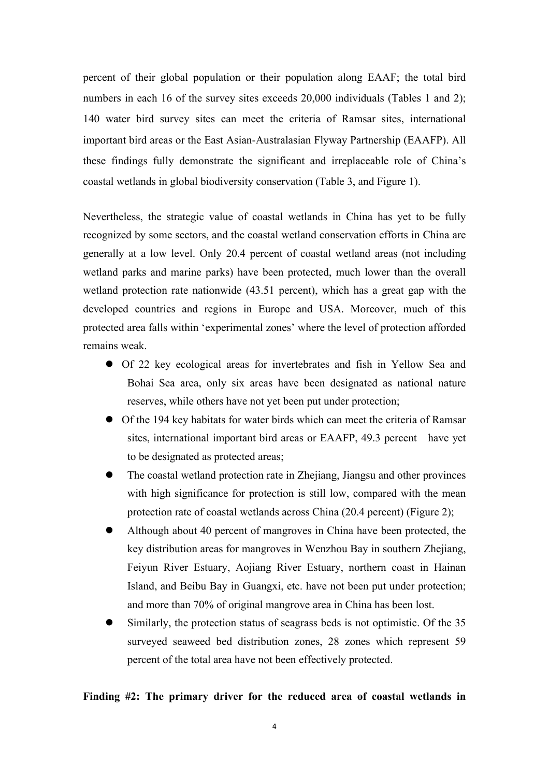percent of their global population or their population along EAAF; the total bird numbers in each 16 of the survey sites exceeds 20,000 individuals (Tables 1 and 2); 140 water bird survey sites can meet the criteria of Ramsar sites, international important bird areas or the East Asian-Australasian Flyway Partnership (EAAFP). All these findings fully demonstrate the significant and irreplaceable role of China's coastal wetlands in global biodiversity conservation (Table 3, and Figure 1).

Nevertheless, the strategic value of coastal wetlands in China has yet to be fully recognized by some sectors, and the coastal wetland conservation efforts in China are generally at a low level. Only 20.4 percent of coastal wetland areas (not including wetland parks and marine parks) have been protected, much lower than the overall wetland protection rate nationwide (43.51 percent), which has a great gap with the developed countries and regions in Europe and USA. Moreover, much of this protected area falls within 'experimental zones' where the level of protection afforded remains weak.

- Of 22 key ecological areas for invertebrates and fish in Yellow Sea and Bohai Sea area, only six areas have been designated as national nature reserves, while others have not yet been put under protection;
- Of the 194 key habitats for water birds which can meet the criteria of Ramsar sites, international important bird areas or EAAFP, 49.3 percent have yet to be designated as protected areas;
- The coastal wetland protection rate in Zhejiang, Jiangsu and other provinces with high significance for protection is still low, compared with the mean protection rate of coastal wetlands across China (20.4 percent) (Figure 2);
- l Although about 40 percent of mangroves in China have been protected, the key distribution areas for mangroves in Wenzhou Bay in southern Zhejiang, Feiyun River Estuary, Aojiang River Estuary, northern coast in Hainan Island, and Beibu Bay in Guangxi, etc. have not been put under protection; and more than 70% of original mangrove area in China has been lost.
- Similarly, the protection status of seagrass beds is not optimistic. Of the 35 surveyed seaweed bed distribution zones, 28 zones which represent 59 percent of the total area have not been effectively protected.

## **Finding #2: The primary driver for the reduced area of coastal wetlands in**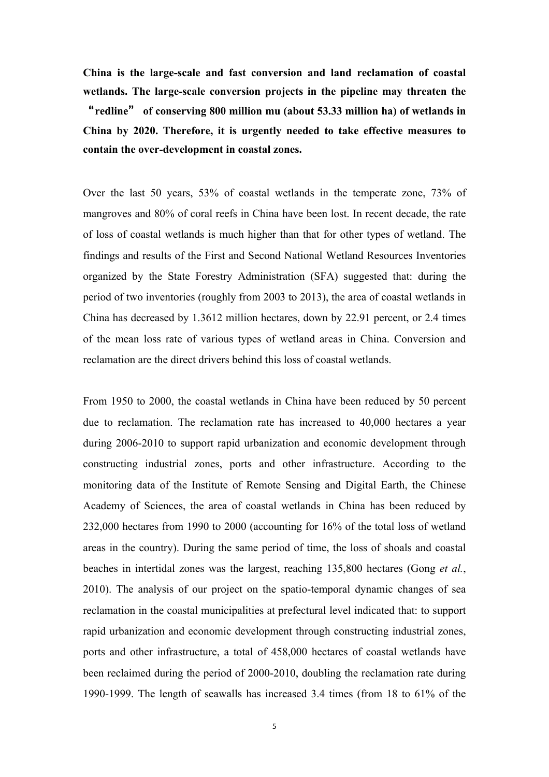**China is the large-scale and fast conversion and land reclamation of coastal wetlands. The large-scale conversion projects in the pipeline may threaten the**  "**redline**" **of conserving 800 million mu (about 53.33 million ha) of wetlands in China by 2020. Therefore, it is urgently needed to take effective measures to contain the over-development in coastal zones.** 

Over the last 50 years, 53% of coastal wetlands in the temperate zone, 73% of mangroves and 80% of coral reefs in China have been lost. In recent decade, the rate of loss of coastal wetlands is much higher than that for other types of wetland. The findings and results of the First and Second National Wetland Resources Inventories organized by the State Forestry Administration (SFA) suggested that: during the period of two inventories (roughly from 2003 to 2013), the area of coastal wetlands in China has decreased by 1.3612 million hectares, down by 22.91 percent, or 2.4 times of the mean loss rate of various types of wetland areas in China. Conversion and reclamation are the direct drivers behind this loss of coastal wetlands.

From 1950 to 2000, the coastal wetlands in China have been reduced by 50 percent due to reclamation. The reclamation rate has increased to 40,000 hectares a year during 2006-2010 to support rapid urbanization and economic development through constructing industrial zones, ports and other infrastructure. According to the monitoring data of the Institute of Remote Sensing and Digital Earth, the Chinese Academy of Sciences, the area of coastal wetlands in China has been reduced by 232,000 hectares from 1990 to 2000 (accounting for 16% of the total loss of wetland areas in the country). During the same period of time, the loss of shoals and coastal beaches in intertidal zones was the largest, reaching 135,800 hectares (Gong *et al.*, 2010). The analysis of our project on the spatio-temporal dynamic changes of sea reclamation in the coastal municipalities at prefectural level indicated that: to support rapid urbanization and economic development through constructing industrial zones, ports and other infrastructure, a total of 458,000 hectares of coastal wetlands have been reclaimed during the period of 2000-2010, doubling the reclamation rate during 1990-1999. The length of seawalls has increased 3.4 times (from 18 to 61% of the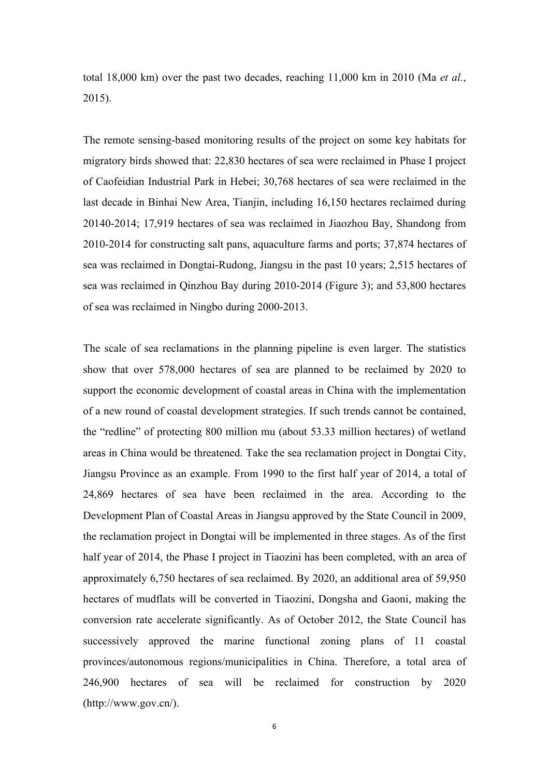total 18,000 km) over the past two decades, reaching 11,000 km in 2010 (Ma *et al.*, 2015).

The remote sensing-based monitoring results of the project on some key habitats for migratory birds showed that: 22,830 hectares of sea were reclaimed in Phase I project of Caofeidian Industrial Park in Hebei; 30,768 hectares of sea were reclaimed in the last decade in Binhai New Area, Tianjin, including 16,150 hectares reclaimed during 20140-2014; 17,919 hectares of sea was reclaimed in Jiaozhou Bay, Shandong from 2010-2014 for constructing salt pans, aquaculture farms and ports; 37,874 hectares of sea was reclaimed in Dongtai-Rudong, Jiangsu in the past 10 years; 2,515 hectares of sea was reclaimed in Qinzhou Bay during 2010-2014 (Figure 3); and 53,800 hectares of sea was reclaimed in Ningbo during 2000-2013.

The scale of sea reclamations in the planning pipeline is even larger. The statistics show that over 578,000 hectares of sea are planned to be reclaimed by 2020 to support the economic development of coastal areas in China with the implementation of a new round of coastal development strategies. If such trends cannot be contained, the "redline" of protecting 800 million mu (about 53.33 million hectares) of wetland areas in China would be threatened. Take the sea reclamation project in Dongtai City, Jiangsu Province as an example. From 1990 to the first half year of 2014, a total of 24,869 hectares of sea have been reclaimed in the area. According to the Development Plan of Coastal Areas in Jiangsu approved by the State Council in 2009, the reclamation project in Dongtai will be implemented in three stages. As of the first half year of 2014, the Phase I project in Tiaozini has been completed, with an area of approximately 6,750 hectares of sea reclaimed. By 2020, an additional area of 59,950 hectares of mudflats will be converted in Tiaozini, Dongsha and Gaoni, making the conversion rate accelerate significantly. As of October 2012, the State Council has successively approved the marine functional zoning plans of 11 coastal provinces/autonomous regions/municipalities in China. Therefore, a total area of 246,900 hectares of sea will be reclaimed for construction by 2020 (http://www.gov.cn/).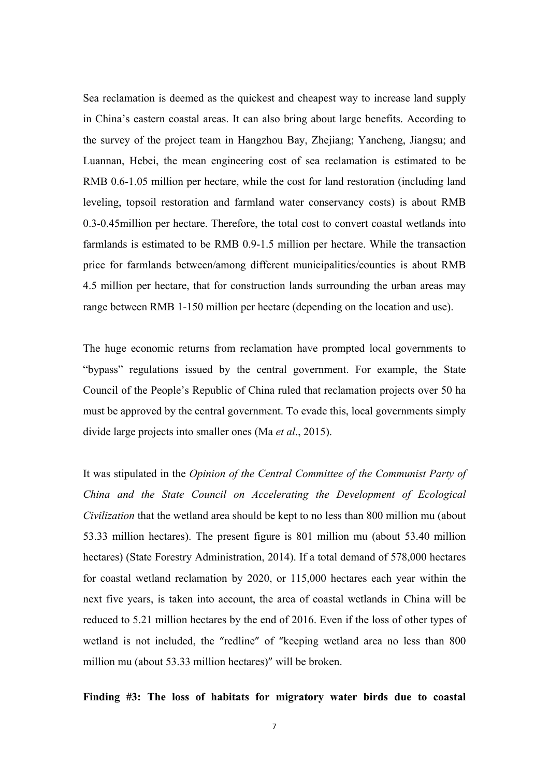Sea reclamation is deemed as the quickest and cheapest way to increase land supply in China's eastern coastal areas. It can also bring about large benefits. According to the survey of the project team in Hangzhou Bay, Zhejiang; Yancheng, Jiangsu; and Luannan, Hebei, the mean engineering cost of sea reclamation is estimated to be RMB 0.6-1.05 million per hectare, while the cost for land restoration (including land leveling, topsoil restoration and farmland water conservancy costs) is about RMB 0.3-0.45million per hectare. Therefore, the total cost to convert coastal wetlands into farmlands is estimated to be RMB 0.9-1.5 million per hectare. While the transaction price for farmlands between/among different municipalities/counties is about RMB 4.5 million per hectare, that for construction lands surrounding the urban areas may range between RMB 1-150 million per hectare (depending on the location and use).

The huge economic returns from reclamation have prompted local governments to "bypass" regulations issued by the central government. For example, the State Council of the People's Republic of China ruled that reclamation projects over 50 ha must be approved by the central government. To evade this, local governments simply divide large projects into smaller ones (Ma *et al*., 2015).

It was stipulated in the *Opinion of the Central Committee of the Communist Party of China and the State Council on Accelerating the Development of Ecological Civilization* that the wetland area should be kept to no less than 800 million mu (about 53.33 million hectares). The present figure is 801 million mu (about 53.40 million hectares) (State Forestry Administration, 2014). If a total demand of 578,000 hectares for coastal wetland reclamation by 2020, or 115,000 hectares each year within the next five years, is taken into account, the area of coastal wetlands in China will be reduced to 5.21 million hectares by the end of 2016. Even if the loss of other types of wetland is not included, the "redline" of "keeping wetland area no less than 800 million mu (about 53.33 million hectares)" will be broken.

**Finding #3: The loss of habitats for migratory water birds due to coastal**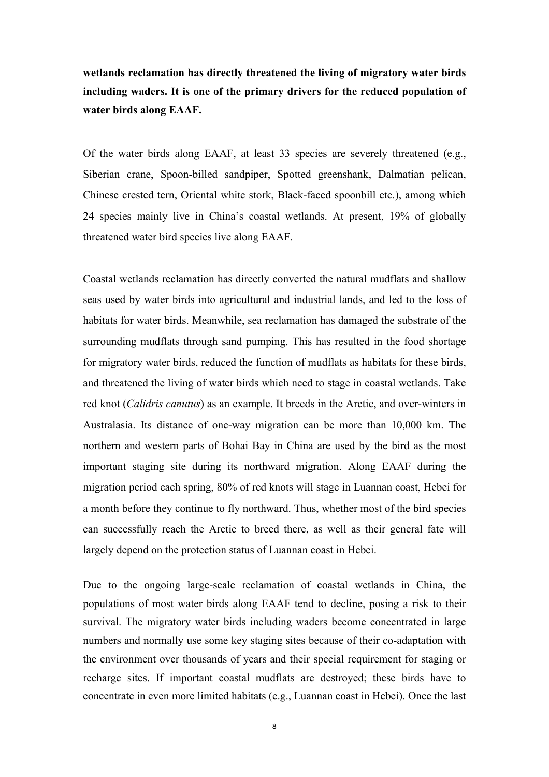**wetlands reclamation has directly threatened the living of migratory water birds including waders. It is one of the primary drivers for the reduced population of water birds along EAAF.**

Of the water birds along EAAF, at least 33 species are severely threatened (e.g., Siberian crane, Spoon-billed sandpiper, Spotted greenshank, Dalmatian pelican, Chinese crested tern, Oriental white stork, Black-faced spoonbill etc.), among which 24 species mainly live in China's coastal wetlands. At present, 19% of globally threatened water bird species live along EAAF.

Coastal wetlands reclamation has directly converted the natural mudflats and shallow seas used by water birds into agricultural and industrial lands, and led to the loss of habitats for water birds. Meanwhile, sea reclamation has damaged the substrate of the surrounding mudflats through sand pumping. This has resulted in the food shortage for migratory water birds, reduced the function of mudflats as habitats for these birds, and threatened the living of water birds which need to stage in coastal wetlands. Take red knot (*Calidris canutus*) as an example. It breeds in the Arctic, and over-winters in Australasia. Its distance of one-way migration can be more than 10,000 km. The northern and western parts of Bohai Bay in China are used by the bird as the most important staging site during its northward migration. Along EAAF during the migration period each spring, 80% of red knots will stage in Luannan coast, Hebei for a month before they continue to fly northward. Thus, whether most of the bird species can successfully reach the Arctic to breed there, as well as their general fate will largely depend on the protection status of Luannan coast in Hebei.

Due to the ongoing large-scale reclamation of coastal wetlands in China, the populations of most water birds along EAAF tend to decline, posing a risk to their survival. The migratory water birds including waders become concentrated in large numbers and normally use some key staging sites because of their co-adaptation with the environment over thousands of years and their special requirement for staging or recharge sites. If important coastal mudflats are destroyed; these birds have to concentrate in even more limited habitats (e.g., Luannan coast in Hebei). Once the last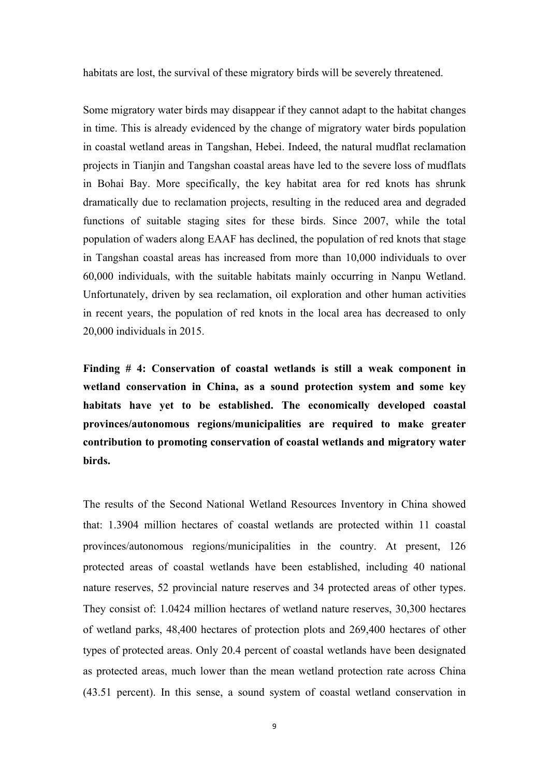habitats are lost, the survival of these migratory birds will be severely threatened.

Some migratory water birds may disappear if they cannot adapt to the habitat changes in time. This is already evidenced by the change of migratory water birds population in coastal wetland areas in Tangshan, Hebei. Indeed, the natural mudflat reclamation projects in Tianjin and Tangshan coastal areas have led to the severe loss of mudflats in Bohai Bay. More specifically, the key habitat area for red knots has shrunk dramatically due to reclamation projects, resulting in the reduced area and degraded functions of suitable staging sites for these birds. Since 2007, while the total population of waders along EAAF has declined, the population of red knots that stage in Tangshan coastal areas has increased from more than 10,000 individuals to over 60,000 individuals, with the suitable habitats mainly occurring in Nanpu Wetland. Unfortunately, driven by sea reclamation, oil exploration and other human activities in recent years, the population of red knots in the local area has decreased to only 20,000 individuals in 2015.

**Finding # 4: Conservation of coastal wetlands is still a weak component in wetland conservation in China, as a sound protection system and some key habitats have yet to be established. The economically developed coastal provinces/autonomous regions/municipalities are required to make greater contribution to promoting conservation of coastal wetlands and migratory water birds.** 

The results of the Second National Wetland Resources Inventory in China showed that: 1.3904 million hectares of coastal wetlands are protected within 11 coastal provinces/autonomous regions/municipalities in the country. At present, 126 protected areas of coastal wetlands have been established, including 40 national nature reserves, 52 provincial nature reserves and 34 protected areas of other types. They consist of: 1.0424 million hectares of wetland nature reserves, 30,300 hectares of wetland parks, 48,400 hectares of protection plots and 269,400 hectares of other types of protected areas. Only 20.4 percent of coastal wetlands have been designated as protected areas, much lower than the mean wetland protection rate across China (43.51 percent). In this sense, a sound system of coastal wetland conservation in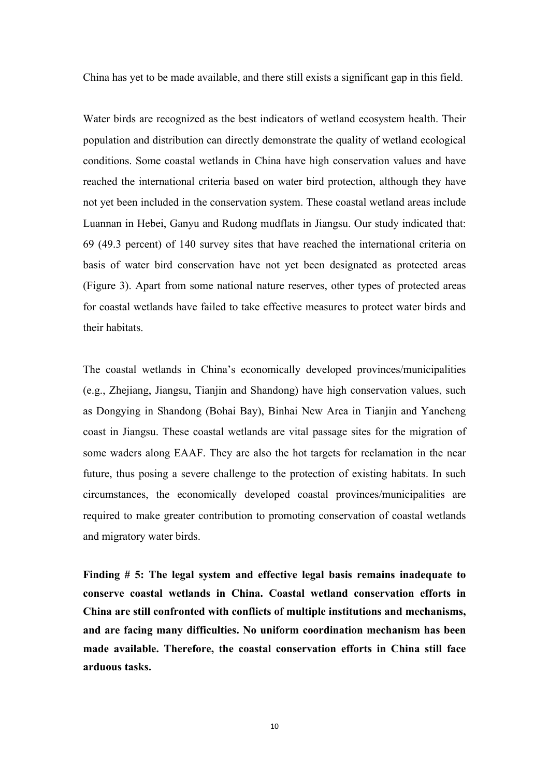China has yet to be made available, and there still exists a significant gap in this field.

Water birds are recognized as the best indicators of wetland ecosystem health. Their population and distribution can directly demonstrate the quality of wetland ecological conditions. Some coastal wetlands in China have high conservation values and have reached the international criteria based on water bird protection, although they have not yet been included in the conservation system. These coastal wetland areas include Luannan in Hebei, Ganyu and Rudong mudflats in Jiangsu. Our study indicated that: 69 (49.3 percent) of 140 survey sites that have reached the international criteria on basis of water bird conservation have not yet been designated as protected areas (Figure 3). Apart from some national nature reserves, other types of protected areas for coastal wetlands have failed to take effective measures to protect water birds and their habitats.

The coastal wetlands in China's economically developed provinces/municipalities (e.g., Zhejiang, Jiangsu, Tianjin and Shandong) have high conservation values, such as Dongying in Shandong (Bohai Bay), Binhai New Area in Tianjin and Yancheng coast in Jiangsu. These coastal wetlands are vital passage sites for the migration of some waders along EAAF. They are also the hot targets for reclamation in the near future, thus posing a severe challenge to the protection of existing habitats. In such circumstances, the economically developed coastal provinces/municipalities are required to make greater contribution to promoting conservation of coastal wetlands and migratory water birds.

**Finding # 5: The legal system and effective legal basis remains inadequate to conserve coastal wetlands in China. Coastal wetland conservation efforts in China are still confronted with conflicts of multiple institutions and mechanisms, and are facing many difficulties. No uniform coordination mechanism has been made available. Therefore, the coastal conservation efforts in China still face arduous tasks.**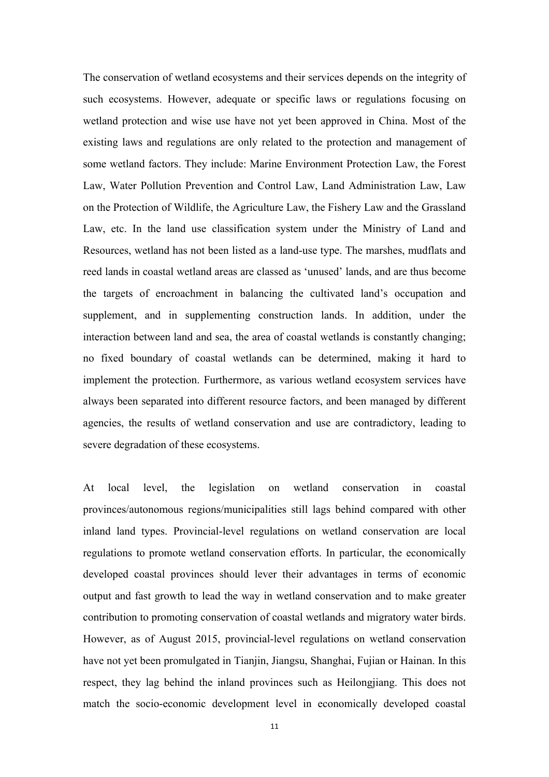The conservation of wetland ecosystems and their services depends on the integrity of such ecosystems. However, adequate or specific laws or regulations focusing on wetland protection and wise use have not yet been approved in China. Most of the existing laws and regulations are only related to the protection and management of some wetland factors. They include: Marine Environment Protection Law, the Forest Law, Water Pollution Prevention and Control Law, Land Administration Law, Law on the Protection of Wildlife, the Agriculture Law, the Fishery Law and the Grassland Law, etc. In the land use classification system under the Ministry of Land and Resources, wetland has not been listed as a land-use type. The marshes, mudflats and reed lands in coastal wetland areas are classed as 'unused' lands, and are thus become the targets of encroachment in balancing the cultivated land's occupation and supplement, and in supplementing construction lands. In addition, under the interaction between land and sea, the area of coastal wetlands is constantly changing; no fixed boundary of coastal wetlands can be determined, making it hard to implement the protection. Furthermore, as various wetland ecosystem services have always been separated into different resource factors, and been managed by different agencies, the results of wetland conservation and use are contradictory, leading to severe degradation of these ecosystems.

At local level, the legislation on wetland conservation in coastal provinces/autonomous regions/municipalities still lags behind compared with other inland land types. Provincial-level regulations on wetland conservation are local regulations to promote wetland conservation efforts. In particular, the economically developed coastal provinces should lever their advantages in terms of economic output and fast growth to lead the way in wetland conservation and to make greater contribution to promoting conservation of coastal wetlands and migratory water birds. However, as of August 2015, provincial-level regulations on wetland conservation have not yet been promulgated in Tianjin, Jiangsu, Shanghai, Fujian or Hainan. In this respect, they lag behind the inland provinces such as Heilongjiang. This does not match the socio-economic development level in economically developed coastal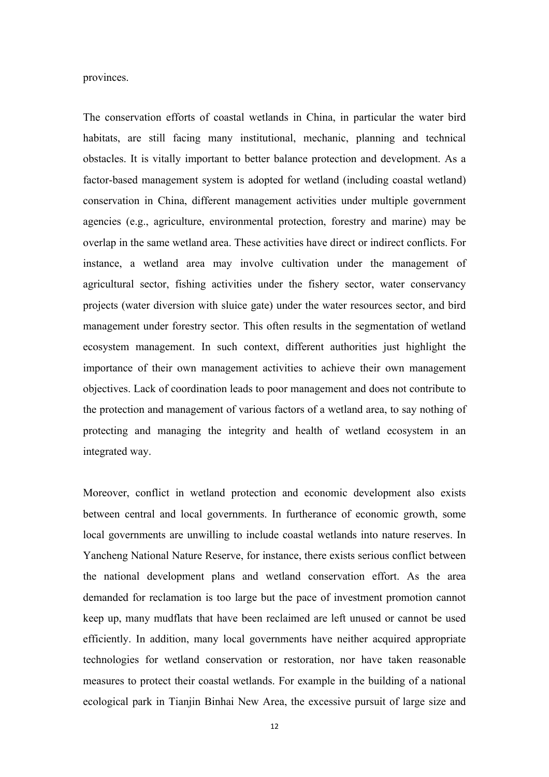provinces.

The conservation efforts of coastal wetlands in China, in particular the water bird habitats, are still facing many institutional, mechanic, planning and technical obstacles. It is vitally important to better balance protection and development. As a factor-based management system is adopted for wetland (including coastal wetland) conservation in China, different management activities under multiple government agencies (e.g., agriculture, environmental protection, forestry and marine) may be overlap in the same wetland area. These activities have direct or indirect conflicts. For instance, a wetland area may involve cultivation under the management of agricultural sector, fishing activities under the fishery sector, water conservancy projects (water diversion with sluice gate) under the water resources sector, and bird management under forestry sector. This often results in the segmentation of wetland ecosystem management. In such context, different authorities just highlight the importance of their own management activities to achieve their own management objectives. Lack of coordination leads to poor management and does not contribute to the protection and management of various factors of a wetland area, to say nothing of protecting and managing the integrity and health of wetland ecosystem in an integrated way.

Moreover, conflict in wetland protection and economic development also exists between central and local governments. In furtherance of economic growth, some local governments are unwilling to include coastal wetlands into nature reserves. In Yancheng National Nature Reserve, for instance, there exists serious conflict between the national development plans and wetland conservation effort. As the area demanded for reclamation is too large but the pace of investment promotion cannot keep up, many mudflats that have been reclaimed are left unused or cannot be used efficiently. In addition, many local governments have neither acquired appropriate technologies for wetland conservation or restoration, nor have taken reasonable measures to protect their coastal wetlands. For example in the building of a national ecological park in Tianjin Binhai New Area, the excessive pursuit of large size and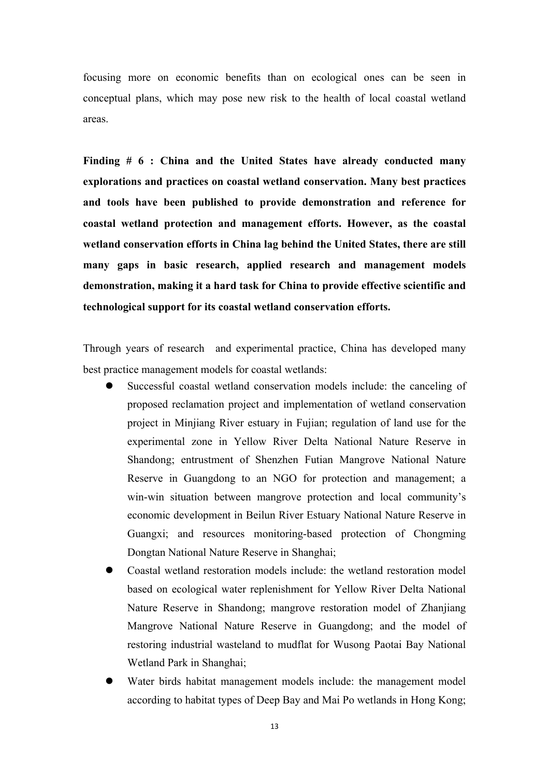focusing more on economic benefits than on ecological ones can be seen in conceptual plans, which may pose new risk to the health of local coastal wetland areas.

**Finding # 6 : China and the United States have already conducted many explorations and practices on coastal wetland conservation. Many best practices and tools have been published to provide demonstration and reference for coastal wetland protection and management efforts. However, as the coastal wetland conservation efforts in China lag behind the United States, there are still many gaps in basic research, applied research and management models demonstration, making it a hard task for China to provide effective scientific and technological support for its coastal wetland conservation efforts.**

Through years of research and experimental practice, China has developed many best practice management models for coastal wetlands:

- Successful coastal wetland conservation models include: the canceling of proposed reclamation project and implementation of wetland conservation project in Minjiang River estuary in Fujian; regulation of land use for the experimental zone in Yellow River Delta National Nature Reserve in Shandong; entrustment of Shenzhen Futian Mangrove National Nature Reserve in Guangdong to an NGO for protection and management; a win-win situation between mangrove protection and local community's economic development in Beilun River Estuary National Nature Reserve in Guangxi; and resources monitoring-based protection of Chongming Dongtan National Nature Reserve in Shanghai;
- l Coastal wetland restoration models include: the wetland restoration model based on ecological water replenishment for Yellow River Delta National Nature Reserve in Shandong; mangrove restoration model of Zhanjiang Mangrove National Nature Reserve in Guangdong; and the model of restoring industrial wasteland to mudflat for Wusong Paotai Bay National Wetland Park in Shanghai;
- Water birds habitat management models include: the management model according to habitat types of Deep Bay and Mai Po wetlands in Hong Kong;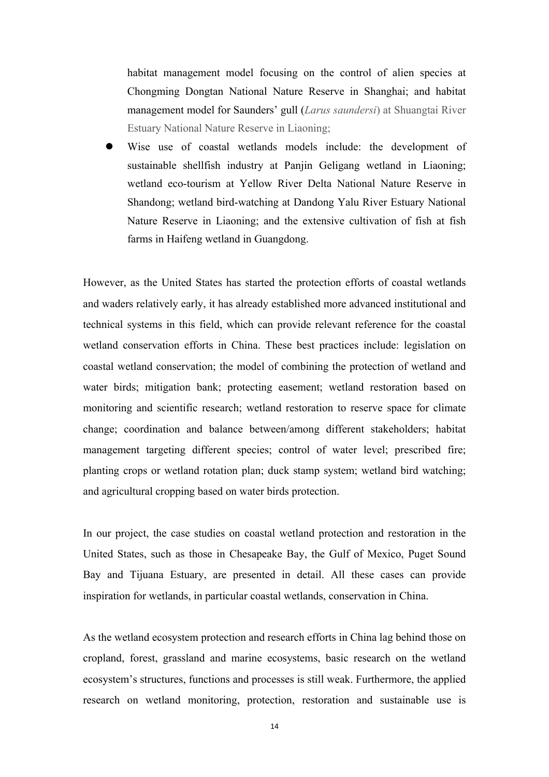habitat management model focusing on the control of alien species at Chongming Dongtan National Nature Reserve in Shanghai; and habitat management model for Saunders' gull (*Larus saundersi*) at Shuangtai River Estuary National Nature Reserve in Liaoning;

Wise use of coastal wetlands models include: the development of sustainable shellfish industry at Panjin Geligang wetland in Liaoning; wetland eco-tourism at Yellow River Delta National Nature Reserve in Shandong; wetland bird-watching at Dandong Yalu River Estuary National Nature Reserve in Liaoning; and the extensive cultivation of fish at fish farms in Haifeng wetland in Guangdong.

However, as the United States has started the protection efforts of coastal wetlands and waders relatively early, it has already established more advanced institutional and technical systems in this field, which can provide relevant reference for the coastal wetland conservation efforts in China. These best practices include: legislation on coastal wetland conservation; the model of combining the protection of wetland and water birds; mitigation bank; protecting easement; wetland restoration based on monitoring and scientific research; wetland restoration to reserve space for climate change; coordination and balance between/among different stakeholders; habitat management targeting different species; control of water level; prescribed fire; planting crops or wetland rotation plan; duck stamp system; wetland bird watching; and agricultural cropping based on water birds protection.

In our project, the case studies on coastal wetland protection and restoration in the United States, such as those in Chesapeake Bay, the Gulf of Mexico, Puget Sound Bay and Tijuana Estuary, are presented in detail. All these cases can provide inspiration for wetlands, in particular coastal wetlands, conservation in China.

As the wetland ecosystem protection and research efforts in China lag behind those on cropland, forest, grassland and marine ecosystems, basic research on the wetland ecosystem's structures, functions and processes is still weak. Furthermore, the applied research on wetland monitoring, protection, restoration and sustainable use is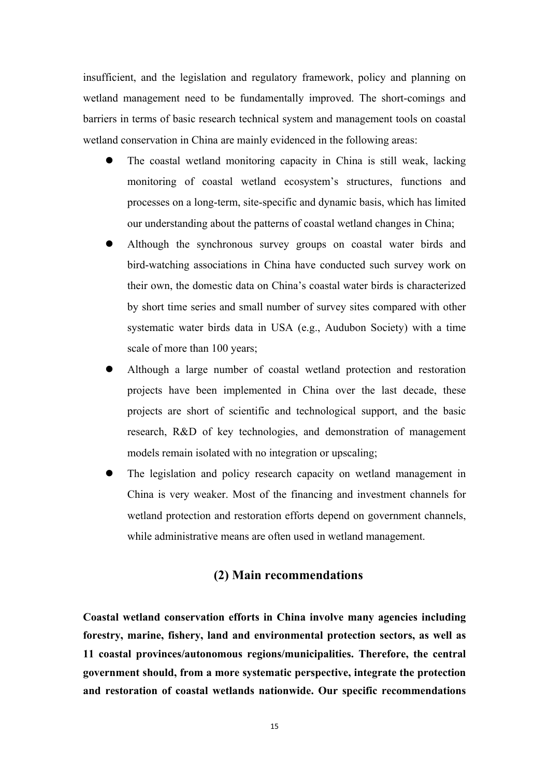insufficient, and the legislation and regulatory framework, policy and planning on wetland management need to be fundamentally improved. The short-comings and barriers in terms of basic research technical system and management tools on coastal wetland conservation in China are mainly evidenced in the following areas:

- The coastal wetland monitoring capacity in China is still weak, lacking monitoring of coastal wetland ecosystem's structures, functions and processes on a long-term, site-specific and dynamic basis, which has limited our understanding about the patterns of coastal wetland changes in China;
- l Although the synchronous survey groups on coastal water birds and bird-watching associations in China have conducted such survey work on their own, the domestic data on China's coastal water birds is characterized by short time series and small number of survey sites compared with other systematic water birds data in USA (e.g., Audubon Society) with a time scale of more than 100 years;
- l Although a large number of coastal wetland protection and restoration projects have been implemented in China over the last decade, these projects are short of scientific and technological support, and the basic research, R&D of key technologies, and demonstration of management models remain isolated with no integration or upscaling;
- The legislation and policy research capacity on wetland management in China is very weaker. Most of the financing and investment channels for wetland protection and restoration efforts depend on government channels, while administrative means are often used in wetland management.

# **(2) Main recommendations**

**Coastal wetland conservation efforts in China involve many agencies including forestry, marine, fishery, land and environmental protection sectors, as well as 11 coastal provinces/autonomous regions/municipalities. Therefore, the central government should, from a more systematic perspective, integrate the protection and restoration of coastal wetlands nationwide. Our specific recommendations**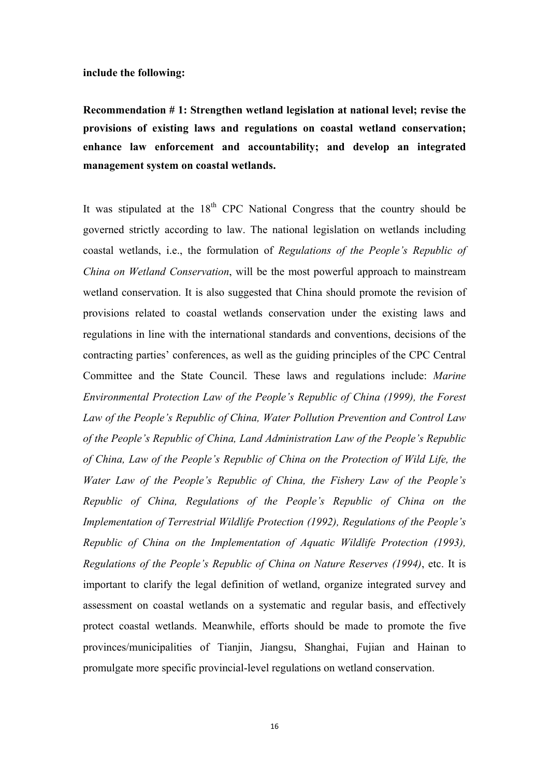### **include the following:**

**Recommendation # 1: Strengthen wetland legislation at national level; revise the provisions of existing laws and regulations on coastal wetland conservation; enhance law enforcement and accountability; and develop an integrated management system on coastal wetlands.**

It was stipulated at the  $18<sup>th</sup>$  CPC National Congress that the country should be governed strictly according to law. The national legislation on wetlands including coastal wetlands, i.e., the formulation of *Regulations of the People's Republic of China on Wetland Conservation*, will be the most powerful approach to mainstream wetland conservation. It is also suggested that China should promote the revision of provisions related to coastal wetlands conservation under the existing laws and regulations in line with the international standards and conventions, decisions of the contracting parties' conferences, as well as the guiding principles of the CPC Central Committee and the State Council. These laws and regulations include: *Marine Environmental Protection Law of the People's Republic of China (1999), the Forest Law of the People's Republic of China, Water Pollution Prevention and Control Law of the People's Republic of China, Land Administration Law of the People's Republic of China, Law of the People's Republic of China on the Protection of Wild Life, the Water Law of the People's Republic of China, the Fishery Law of the People's Republic of China, Regulations of the People's Republic of China on the Implementation of Terrestrial Wildlife Protection (1992), Regulations of the People's Republic of China on the Implementation of Aquatic Wildlife Protection (1993), Regulations of the People's Republic of China on Nature Reserves (1994)*, etc. It is important to clarify the legal definition of wetland, organize integrated survey and assessment on coastal wetlands on a systematic and regular basis, and effectively protect coastal wetlands. Meanwhile, efforts should be made to promote the five provinces/municipalities of Tianjin, Jiangsu, Shanghai, Fujian and Hainan to promulgate more specific provincial-level regulations on wetland conservation.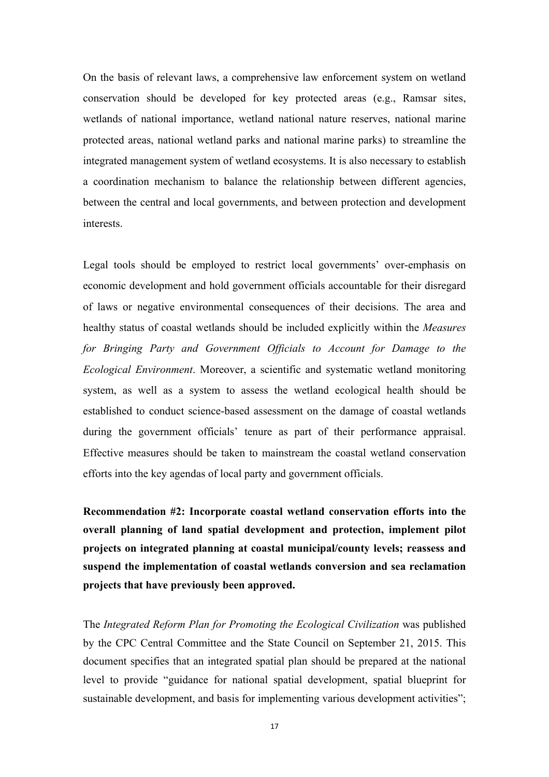On the basis of relevant laws, a comprehensive law enforcement system on wetland conservation should be developed for key protected areas (e.g., Ramsar sites, wetlands of national importance, wetland national nature reserves, national marine protected areas, national wetland parks and national marine parks) to streamline the integrated management system of wetland ecosystems. It is also necessary to establish a coordination mechanism to balance the relationship between different agencies, between the central and local governments, and between protection and development interests.

Legal tools should be employed to restrict local governments' over-emphasis on economic development and hold government officials accountable for their disregard of laws or negative environmental consequences of their decisions. The area and healthy status of coastal wetlands should be included explicitly within the *Measures for Bringing Party and Government Officials to Account for Damage to the Ecological Environment*. Moreover, a scientific and systematic wetland monitoring system, as well as a system to assess the wetland ecological health should be established to conduct science-based assessment on the damage of coastal wetlands during the government officials' tenure as part of their performance appraisal. Effective measures should be taken to mainstream the coastal wetland conservation efforts into the key agendas of local party and government officials.

**Recommendation #2: Incorporate coastal wetland conservation efforts into the overall planning of land spatial development and protection, implement pilot projects on integrated planning at coastal municipal/county levels; reassess and suspend the implementation of coastal wetlands conversion and sea reclamation projects that have previously been approved.**

The *Integrated Reform Plan for Promoting the Ecological Civilization* was published by the CPC Central Committee and the State Council on September 21, 2015. This document specifies that an integrated spatial plan should be prepared at the national level to provide "guidance for national spatial development, spatial blueprint for sustainable development, and basis for implementing various development activities";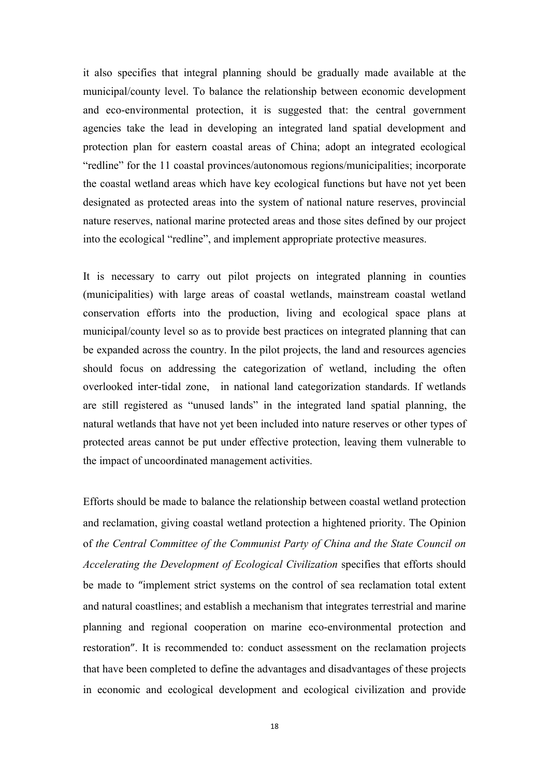it also specifies that integral planning should be gradually made available at the municipal/county level. To balance the relationship between economic development and eco-environmental protection, it is suggested that: the central government agencies take the lead in developing an integrated land spatial development and protection plan for eastern coastal areas of China; adopt an integrated ecological "redline" for the 11 coastal provinces/autonomous regions/municipalities; incorporate the coastal wetland areas which have key ecological functions but have not yet been designated as protected areas into the system of national nature reserves, provincial nature reserves, national marine protected areas and those sites defined by our project into the ecological "redline", and implement appropriate protective measures.

It is necessary to carry out pilot projects on integrated planning in counties (municipalities) with large areas of coastal wetlands, mainstream coastal wetland conservation efforts into the production, living and ecological space plans at municipal/county level so as to provide best practices on integrated planning that can be expanded across the country. In the pilot projects, the land and resources agencies should focus on addressing the categorization of wetland, including the often overlooked inter-tidal zone, in national land categorization standards. If wetlands are still registered as "unused lands" in the integrated land spatial planning, the natural wetlands that have not yet been included into nature reserves or other types of protected areas cannot be put under effective protection, leaving them vulnerable to the impact of uncoordinated management activities.

Efforts should be made to balance the relationship between coastal wetland protection and reclamation, giving coastal wetland protection a hightened priority. The Opinion of *the Central Committee of the Communist Party of China and the State Council on Accelerating the Development of Ecological Civilization* specifies that efforts should be made to "implement strict systems on the control of sea reclamation total extent and natural coastlines; and establish a mechanism that integrates terrestrial and marine planning and regional cooperation on marine eco-environmental protection and restoration". It is recommended to: conduct assessment on the reclamation projects that have been completed to define the advantages and disadvantages of these projects in economic and ecological development and ecological civilization and provide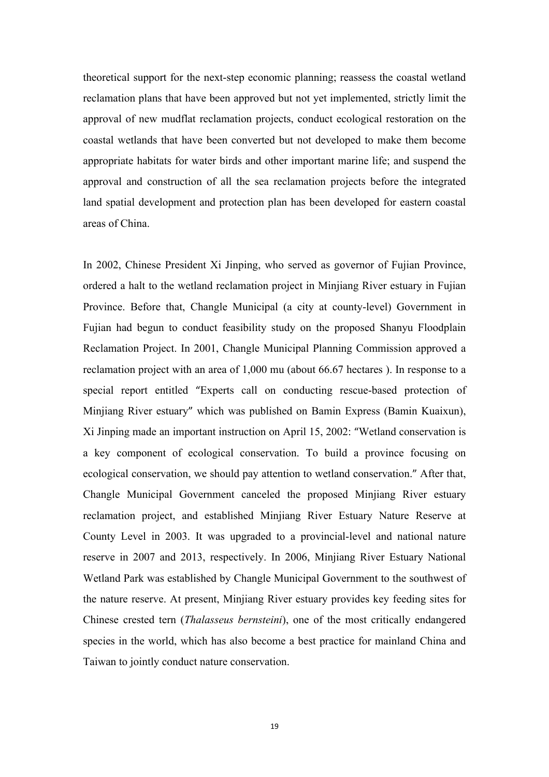theoretical support for the next-step economic planning; reassess the coastal wetland reclamation plans that have been approved but not yet implemented, strictly limit the approval of new mudflat reclamation projects, conduct ecological restoration on the coastal wetlands that have been converted but not developed to make them become appropriate habitats for water birds and other important marine life; and suspend the approval and construction of all the sea reclamation projects before the integrated land spatial development and protection plan has been developed for eastern coastal areas of China.

In 2002, Chinese President Xi Jinping, who served as governor of Fujian Province, ordered a halt to the wetland reclamation project in Minjiang River estuary in Fujian Province. Before that, Changle Municipal (a city at county-level) Government in Fujian had begun to conduct feasibility study on the proposed Shanyu Floodplain Reclamation Project. In 2001, Changle Municipal Planning Commission approved a reclamation project with an area of 1,000 mu (about 66.67 hectares ). In response to a special report entitled "Experts call on conducting rescue-based protection of Minjiang River estuary" which was published on Bamin Express (Bamin Kuaixun), Xi Jinping made an important instruction on April 15, 2002: "Wetland conservation is a key component of ecological conservation. To build a province focusing on ecological conservation, we should pay attention to wetland conservation." After that, Changle Municipal Government canceled the proposed Minjiang River estuary reclamation project, and established Minjiang River Estuary Nature Reserve at County Level in 2003. It was upgraded to a provincial-level and national nature reserve in 2007 and 2013, respectively. In 2006, Minjiang River Estuary National Wetland Park was established by Changle Municipal Government to the southwest of the nature reserve. At present, Minjiang River estuary provides key feeding sites for Chinese crested tern (*Thalasseus bernsteini*), one of the most critically endangered species in the world, which has also become a best practice for mainland China and Taiwan to jointly conduct nature conservation.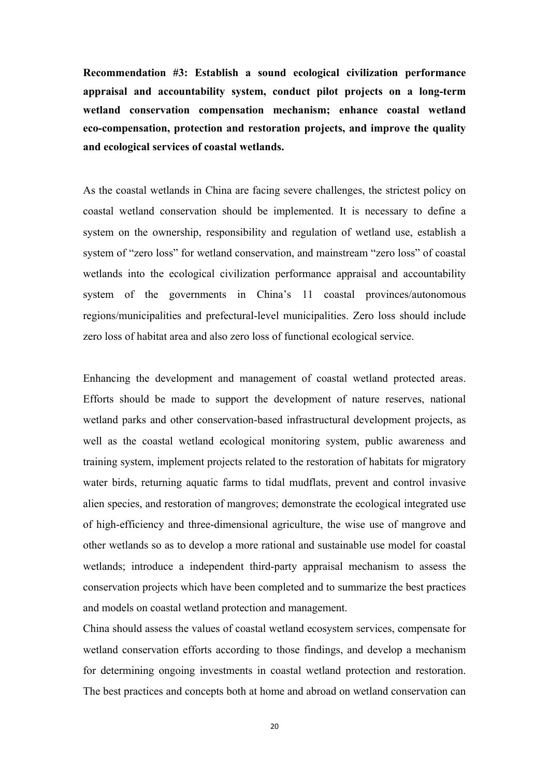**Recommendation #3: Establish a sound ecological civilization performance appraisal and accountability system, conduct pilot projects on a long-term wetland conservation compensation mechanism; enhance coastal wetland eco-compensation, protection and restoration projects, and improve the quality and ecological services of coastal wetlands.** 

As the coastal wetlands in China are facing severe challenges, the strictest policy on coastal wetland conservation should be implemented. It is necessary to define a system on the ownership, responsibility and regulation of wetland use, establish a system of "zero loss" for wetland conservation, and mainstream "zero loss" of coastal wetlands into the ecological civilization performance appraisal and accountability system of the governments in China's 11 coastal provinces/autonomous regions/municipalities and prefectural-level municipalities. Zero loss should include zero loss of habitat area and also zero loss of functional ecological service.

Enhancing the development and management of coastal wetland protected areas. Efforts should be made to support the development of nature reserves, national wetland parks and other conservation-based infrastructural development projects, as well as the coastal wetland ecological monitoring system, public awareness and training system, implement projects related to the restoration of habitats for migratory water birds, returning aquatic farms to tidal mudflats, prevent and control invasive alien species, and restoration of mangroves; demonstrate the ecological integrated use of high-efficiency and three-dimensional agriculture, the wise use of mangrove and other wetlands so as to develop a more rational and sustainable use model for coastal wetlands; introduce a independent third-party appraisal mechanism to assess the conservation projects which have been completed and to summarize the best practices and models on coastal wetland protection and management.

China should assess the values of coastal wetland ecosystem services, compensate for wetland conservation efforts according to those findings, and develop a mechanism for determining ongoing investments in coastal wetland protection and restoration. The best practices and concepts both at home and abroad on wetland conservation can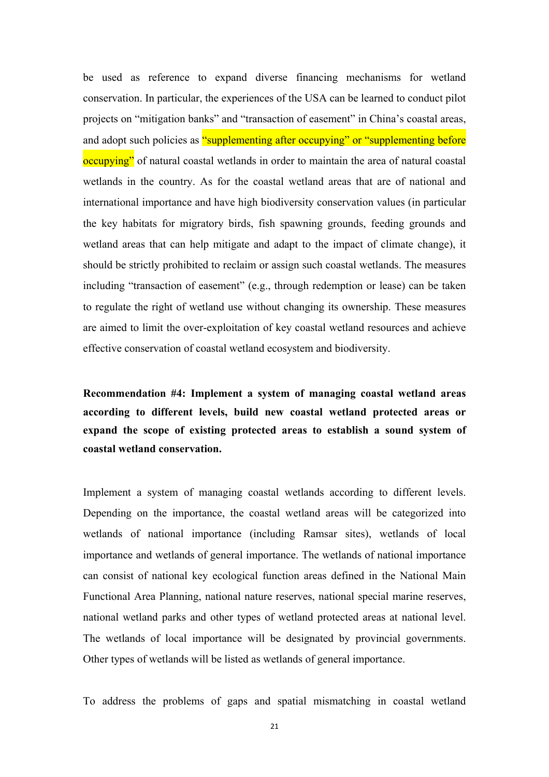be used as reference to expand diverse financing mechanisms for wetland conservation. In particular, the experiences of the USA can be learned to conduct pilot projects on "mitigation banks" and "transaction of easement" in China's coastal areas, and adopt such policies as "supplementing after occupying" or "supplementing before occupying" of natural coastal wetlands in order to maintain the area of natural coastal wetlands in the country. As for the coastal wetland areas that are of national and international importance and have high biodiversity conservation values (in particular the key habitats for migratory birds, fish spawning grounds, feeding grounds and wetland areas that can help mitigate and adapt to the impact of climate change), it should be strictly prohibited to reclaim or assign such coastal wetlands. The measures including "transaction of easement" (e.g., through redemption or lease) can be taken to regulate the right of wetland use without changing its ownership. These measures are aimed to limit the over-exploitation of key coastal wetland resources and achieve effective conservation of coastal wetland ecosystem and biodiversity.

**Recommendation #4: Implement a system of managing coastal wetland areas according to different levels, build new coastal wetland protected areas or expand the scope of existing protected areas to establish a sound system of coastal wetland conservation.** 

Implement a system of managing coastal wetlands according to different levels. Depending on the importance, the coastal wetland areas will be categorized into wetlands of national importance (including Ramsar sites), wetlands of local importance and wetlands of general importance. The wetlands of national importance can consist of national key ecological function areas defined in the National Main Functional Area Planning, national nature reserves, national special marine reserves, national wetland parks and other types of wetland protected areas at national level. The wetlands of local importance will be designated by provincial governments. Other types of wetlands will be listed as wetlands of general importance.

To address the problems of gaps and spatial mismatching in coastal wetland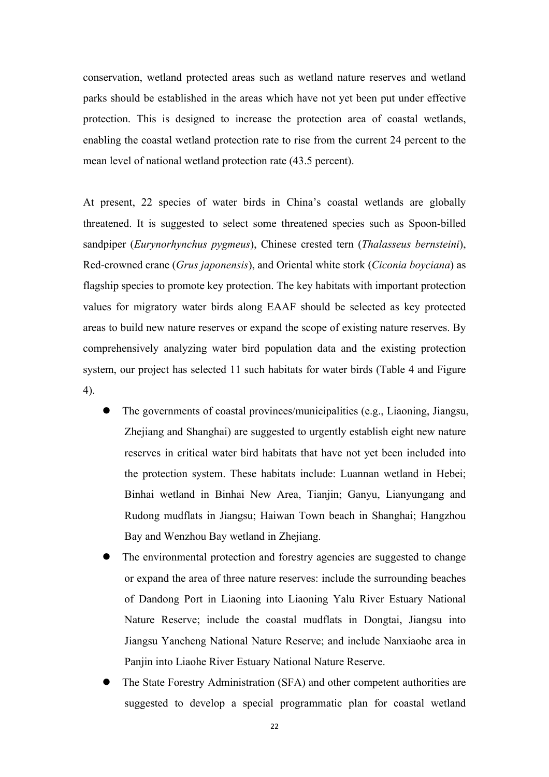conservation, wetland protected areas such as wetland nature reserves and wetland parks should be established in the areas which have not yet been put under effective protection. This is designed to increase the protection area of coastal wetlands, enabling the coastal wetland protection rate to rise from the current 24 percent to the mean level of national wetland protection rate (43.5 percent).

At present, 22 species of water birds in China's coastal wetlands are globally threatened. It is suggested to select some threatened species such as Spoon-billed sandpiper (*Eurynorhynchus pygmeus*), Chinese crested tern (*Thalasseus bernsteini*), Red-crowned crane (*Grus japonensis*), and Oriental white stork (*Ciconia boyciana*) as flagship species to promote key protection. The key habitats with important protection values for migratory water birds along EAAF should be selected as key protected areas to build new nature reserves or expand the scope of existing nature reserves. By comprehensively analyzing water bird population data and the existing protection system, our project has selected 11 such habitats for water birds (Table 4 and Figure 4).

- The governments of coastal provinces/municipalities (e.g., Liaoning, Jiangsu, Zhejiang and Shanghai) are suggested to urgently establish eight new nature reserves in critical water bird habitats that have not yet been included into the protection system. These habitats include: Luannan wetland in Hebei; Binhai wetland in Binhai New Area, Tianjin; Ganyu, Lianyungang and Rudong mudflats in Jiangsu; Haiwan Town beach in Shanghai; Hangzhou Bay and Wenzhou Bay wetland in Zhejiang.
- The environmental protection and forestry agencies are suggested to change or expand the area of three nature reserves: include the surrounding beaches of Dandong Port in Liaoning into Liaoning Yalu River Estuary National Nature Reserve; include the coastal mudflats in Dongtai, Jiangsu into Jiangsu Yancheng National Nature Reserve; and include Nanxiaohe area in Panjin into Liaohe River Estuary National Nature Reserve.
- The State Forestry Administration (SFA) and other competent authorities are suggested to develop a special programmatic plan for coastal wetland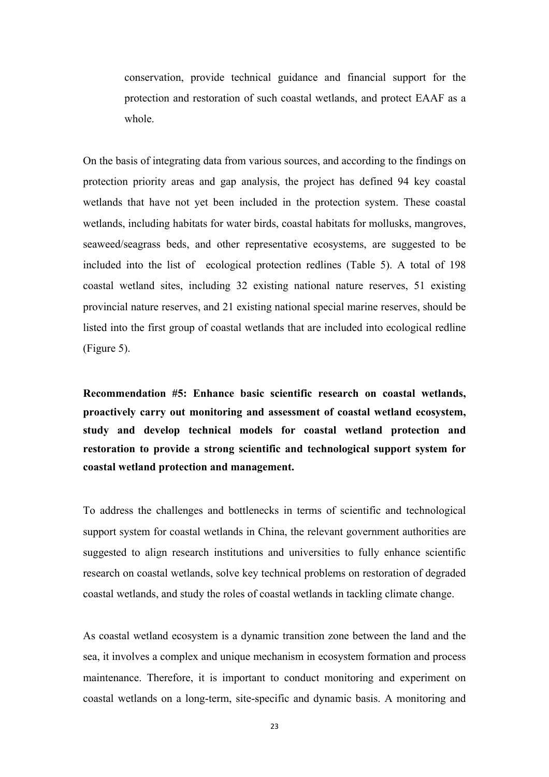conservation, provide technical guidance and financial support for the protection and restoration of such coastal wetlands, and protect EAAF as a whole.

On the basis of integrating data from various sources, and according to the findings on protection priority areas and gap analysis, the project has defined 94 key coastal wetlands that have not yet been included in the protection system. These coastal wetlands, including habitats for water birds, coastal habitats for mollusks, mangroves, seaweed/seagrass beds, and other representative ecosystems, are suggested to be included into the list of ecological protection redlines (Table 5). A total of 198 coastal wetland sites, including 32 existing national nature reserves, 51 existing provincial nature reserves, and 21 existing national special marine reserves, should be listed into the first group of coastal wetlands that are included into ecological redline (Figure 5).

**Recommendation #5: Enhance basic scientific research on coastal wetlands, proactively carry out monitoring and assessment of coastal wetland ecosystem, study and develop technical models for coastal wetland protection and restoration to provide a strong scientific and technological support system for coastal wetland protection and management.**

To address the challenges and bottlenecks in terms of scientific and technological support system for coastal wetlands in China, the relevant government authorities are suggested to align research institutions and universities to fully enhance scientific research on coastal wetlands, solve key technical problems on restoration of degraded coastal wetlands, and study the roles of coastal wetlands in tackling climate change.

As coastal wetland ecosystem is a dynamic transition zone between the land and the sea, it involves a complex and unique mechanism in ecosystem formation and process maintenance. Therefore, it is important to conduct monitoring and experiment on coastal wetlands on a long-term, site-specific and dynamic basis. A monitoring and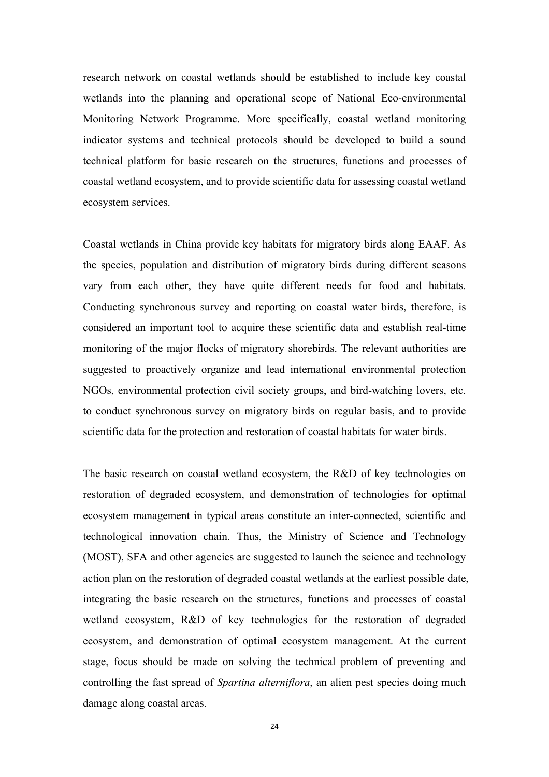research network on coastal wetlands should be established to include key coastal wetlands into the planning and operational scope of National Eco-environmental Monitoring Network Programme. More specifically, coastal wetland monitoring indicator systems and technical protocols should be developed to build a sound technical platform for basic research on the structures, functions and processes of coastal wetland ecosystem, and to provide scientific data for assessing coastal wetland ecosystem services.

Coastal wetlands in China provide key habitats for migratory birds along EAAF. As the species, population and distribution of migratory birds during different seasons vary from each other, they have quite different needs for food and habitats. Conducting synchronous survey and reporting on coastal water birds, therefore, is considered an important tool to acquire these scientific data and establish real-time monitoring of the major flocks of migratory shorebirds. The relevant authorities are suggested to proactively organize and lead international environmental protection NGOs, environmental protection civil society groups, and bird-watching lovers, etc. to conduct synchronous survey on migratory birds on regular basis, and to provide scientific data for the protection and restoration of coastal habitats for water birds.

The basic research on coastal wetland ecosystem, the R&D of key technologies on restoration of degraded ecosystem, and demonstration of technologies for optimal ecosystem management in typical areas constitute an inter-connected, scientific and technological innovation chain. Thus, the Ministry of Science and Technology (MOST), SFA and other agencies are suggested to launch the science and technology action plan on the restoration of degraded coastal wetlands at the earliest possible date, integrating the basic research on the structures, functions and processes of coastal wetland ecosystem, R&D of key technologies for the restoration of degraded ecosystem, and demonstration of optimal ecosystem management. At the current stage, focus should be made on solving the technical problem of preventing and controlling the fast spread of *Spartina alterniflora*, an alien pest species doing much damage along coastal areas.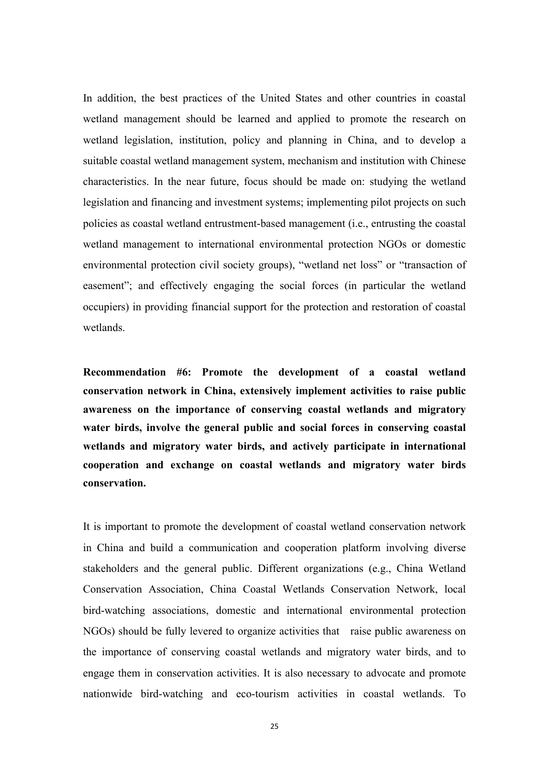In addition, the best practices of the United States and other countries in coastal wetland management should be learned and applied to promote the research on wetland legislation, institution, policy and planning in China, and to develop a suitable coastal wetland management system, mechanism and institution with Chinese characteristics. In the near future, focus should be made on: studying the wetland legislation and financing and investment systems; implementing pilot projects on such policies as coastal wetland entrustment-based management (i.e., entrusting the coastal wetland management to international environmental protection NGOs or domestic environmental protection civil society groups), "wetland net loss" or "transaction of easement"; and effectively engaging the social forces (in particular the wetland occupiers) in providing financial support for the protection and restoration of coastal wetlands.

**Recommendation #6: Promote the development of a coastal wetland conservation network in China, extensively implement activities to raise public awareness on the importance of conserving coastal wetlands and migratory water birds, involve the general public and social forces in conserving coastal wetlands and migratory water birds, and actively participate in international cooperation and exchange on coastal wetlands and migratory water birds conservation.** 

It is important to promote the development of coastal wetland conservation network in China and build a communication and cooperation platform involving diverse stakeholders and the general public. Different organizations (e.g., China Wetland Conservation Association, China Coastal Wetlands Conservation Network, local bird-watching associations, domestic and international environmental protection NGOs) should be fully levered to organize activities that raise public awareness on the importance of conserving coastal wetlands and migratory water birds, and to engage them in conservation activities. It is also necessary to advocate and promote nationwide bird-watching and eco-tourism activities in coastal wetlands. To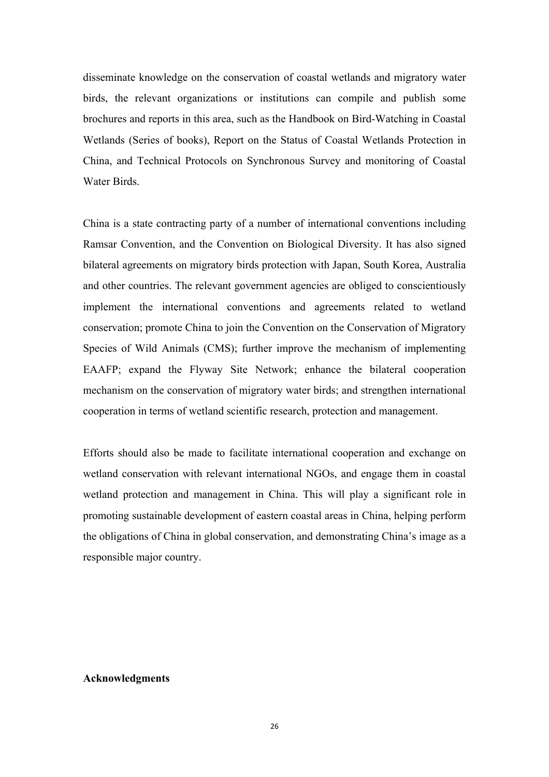disseminate knowledge on the conservation of coastal wetlands and migratory water birds, the relevant organizations or institutions can compile and publish some brochures and reports in this area, such as the Handbook on Bird-Watching in Coastal Wetlands (Series of books), Report on the Status of Coastal Wetlands Protection in China, and Technical Protocols on Synchronous Survey and monitoring of Coastal Water Birds.

China is a state contracting party of a number of international conventions including Ramsar Convention, and the Convention on Biological Diversity. It has also signed bilateral agreements on migratory birds protection with Japan, South Korea, Australia and other countries. The relevant government agencies are obliged to conscientiously implement the international conventions and agreements related to wetland conservation; promote China to join the Convention on the Conservation of Migratory Species of Wild Animals (CMS); further improve the mechanism of implementing EAAFP; expand the Flyway Site Network; enhance the bilateral cooperation mechanism on the conservation of migratory water birds; and strengthen international cooperation in terms of wetland scientific research, protection and management.

Efforts should also be made to facilitate international cooperation and exchange on wetland conservation with relevant international NGOs, and engage them in coastal wetland protection and management in China. This will play a significant role in promoting sustainable development of eastern coastal areas in China, helping perform the obligations of China in global conservation, and demonstrating China's image as a responsible major country.

#### **Acknowledgments**